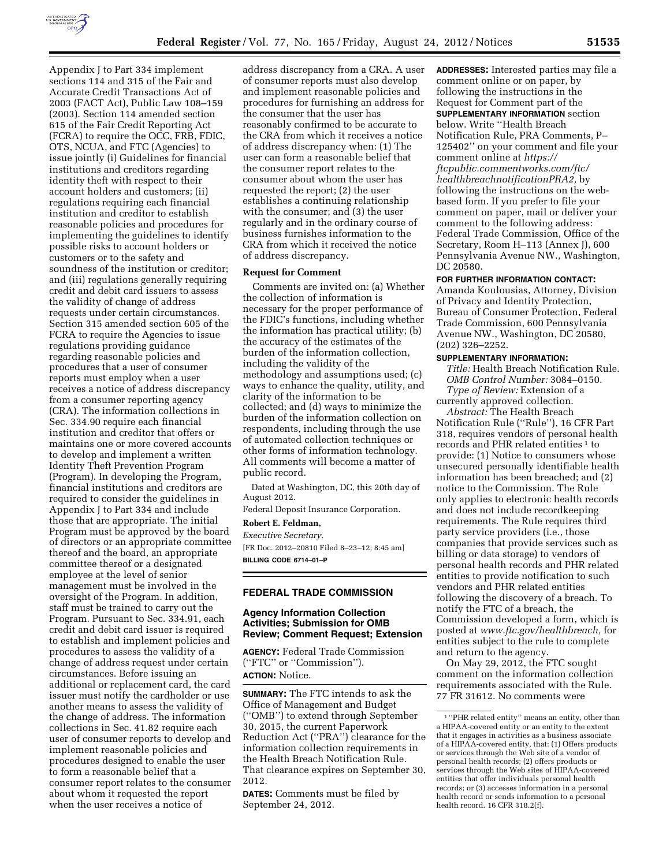

Appendix J to Part 334 implement sections 114 and 315 of the Fair and Accurate Credit Transactions Act of 2003 (FACT Act), Public Law 108–159 (2003). Section 114 amended section 615 of the Fair Credit Reporting Act (FCRA) to require the OCC, FRB, FDIC, OTS, NCUA, and FTC (Agencies) to issue jointly (i) Guidelines for financial institutions and creditors regarding identity theft with respect to their account holders and customers; (ii) regulations requiring each financial institution and creditor to establish reasonable policies and procedures for implementing the guidelines to identify possible risks to account holders or customers or to the safety and soundness of the institution or creditor; and (iii) regulations generally requiring credit and debit card issuers to assess the validity of change of address requests under certain circumstances. Section 315 amended section 605 of the FCRA to require the Agencies to issue regulations providing guidance regarding reasonable policies and procedures that a user of consumer reports must employ when a user receives a notice of address discrepancy from a consumer reporting agency (CRA). The information collections in Sec. 334.90 require each financial institution and creditor that offers or maintains one or more covered accounts to develop and implement a written Identity Theft Prevention Program (Program). In developing the Program, financial institutions and creditors are required to consider the guidelines in Appendix J to Part 334 and include those that are appropriate. The initial Program must be approved by the board of directors or an appropriate committee thereof and the board, an appropriate committee thereof or a designated employee at the level of senior management must be involved in the oversight of the Program. In addition, staff must be trained to carry out the Program. Pursuant to Sec. 334.91, each credit and debit card issuer is required to establish and implement policies and procedures to assess the validity of a change of address request under certain circumstances. Before issuing an additional or replacement card, the card issuer must notify the cardholder or use another means to assess the validity of the change of address. The information collections in Sec. 41.82 require each user of consumer reports to develop and implement reasonable policies and procedures designed to enable the user to form a reasonable belief that a consumer report relates to the consumer about whom it requested the report when the user receives a notice of

address discrepancy from a CRA. A user of consumer reports must also develop and implement reasonable policies and procedures for furnishing an address for the consumer that the user has reasonably confirmed to be accurate to the CRA from which it receives a notice of address discrepancy when: (1) The user can form a reasonable belief that the consumer report relates to the consumer about whom the user has requested the report; (2) the user establishes a continuing relationship with the consumer; and (3) the user regularly and in the ordinary course of business furnishes information to the CRA from which it received the notice of address discrepancy.

### **Request for Comment**

Comments are invited on: (a) Whether the collection of information is necessary for the proper performance of the FDIC's functions, including whether the information has practical utility; (b) the accuracy of the estimates of the burden of the information collection, including the validity of the methodology and assumptions used; (c) ways to enhance the quality, utility, and clarity of the information to be collected; and (d) ways to minimize the burden of the information collection on respondents, including through the use of automated collection techniques or other forms of information technology. All comments will become a matter of public record.

Dated at Washington, DC, this 20th day of August 2012.

Federal Deposit Insurance Corporation.

# **Robert E. Feldman,**

*Executive Secretary.*  [FR Doc. 2012–20810 Filed 8–23–12; 8:45 am] **BILLING CODE 6714–01–P** 

## **FEDERAL TRADE COMMISSION**

## **Agency Information Collection Activities; Submission for OMB Review; Comment Request; Extension**

**AGENCY:** Federal Trade Commission (''FTC'' or ''Commission''). **ACTION:** Notice.

**SUMMARY:** The FTC intends to ask the Office of Management and Budget (''OMB'') to extend through September 30, 2015, the current Paperwork Reduction Act (''PRA'') clearance for the information collection requirements in the Health Breach Notification Rule. That clearance expires on September 30, 2012.

**DATES:** Comments must be filed by September 24, 2012.

**ADDRESSES:** Interested parties may file a comment online or on paper, by following the instructions in the Request for Comment part of the **SUPPLEMENTARY INFORMATION** section below. Write ''Health Breach Notification Rule, PRA Comments, P– 125402'' on your comment and file your comment online at *[https://](https://ftcpublic.commentworks.com/ftc/healthbreachnotificationPRA2) [ftcpublic.commentworks.com/ftc/](https://ftcpublic.commentworks.com/ftc/healthbreachnotificationPRA2)  [healthbreachnotificationPRA2,](https://ftcpublic.commentworks.com/ftc/healthbreachnotificationPRA2)* by following the instructions on the webbased form. If you prefer to file your comment on paper, mail or deliver your comment to the following address: Federal Trade Commission, Office of the Secretary, Room H–113 (Annex J), 600 Pennsylvania Avenue NW., Washington, DC 20580.

#### **FOR FURTHER INFORMATION CONTACT:**

Amanda Koulousias, Attorney, Division of Privacy and Identity Protection, Bureau of Consumer Protection, Federal Trade Commission, 600 Pennsylvania Avenue NW., Washington, DC 20580, (202) 326–2252.

#### **SUPPLEMENTARY INFORMATION:**

*Title:* Health Breach Notification Rule. *OMB Control Number:* 3084–0150. *Type of Review:* Extension of a currently approved collection.

*Abstract:* The Health Breach Notification Rule (''Rule''), 16 CFR Part 318, requires vendors of personal health records and PHR related entities<sup>1</sup> to provide: (1) Notice to consumers whose unsecured personally identifiable health information has been breached; and (2) notice to the Commission. The Rule only applies to electronic health records and does not include recordkeeping requirements. The Rule requires third party service providers (i.e., those companies that provide services such as billing or data storage) to vendors of personal health records and PHR related entities to provide notification to such vendors and PHR related entities following the discovery of a breach. To notify the FTC of a breach, the Commission developed a form, which is posted at *[www.ftc.gov/healthbreach,](http://www.ftc.gov/healthbreach)* for entities subject to the rule to complete and return to the agency.

On May 29, 2012, the FTC sought comment on the information collection requirements associated with the Rule. 77 FR 31612. No comments were

<sup>1</sup> ''PHR related entity'' means an entity, other than a HIPAA-covered entity or an entity to the extent that it engages in activities as a business associate of a HIPAA-covered entity, that: (1) Offers products or services through the Web site of a vendor of personal health records; (2) offers products or services through the Web sites of HIPAA-covered entities that offer individuals personal health records; or (3) accesses information in a personal health record or sends information to a personal health record. 16 CFR 318.2(f).